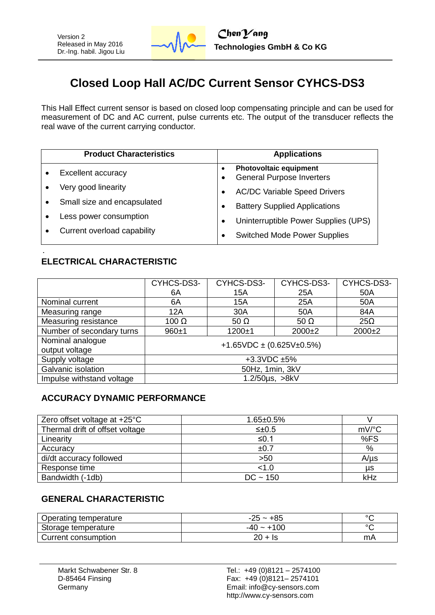

# **Closed Loop Hall AC/DC Current Sensor CYHCS-DS3**

This Hall Effect current sensor is based on closed loop compensating principle and can be used for measurement of DC and AC current, pulse currents etc. The output of the transducer reflects the real wave of the current carrying conductor.

| <b>Product Characteristics</b>      | <b>Applications</b>                                        |  |  |  |
|-------------------------------------|------------------------------------------------------------|--|--|--|
| <b>Excellent accuracy</b>           | Photovoltaic equipment<br><b>General Purpose Inverters</b> |  |  |  |
| Very good linearity                 | <b>AC/DC Variable Speed Drivers</b>                        |  |  |  |
| Small size and encapsulated         | <b>Battery Supplied Applications</b>                       |  |  |  |
| Less power consumption<br>$\bullet$ | Uninterruptible Power Supplies (UPS)                       |  |  |  |
| Current overload capability         | <b>Switched Mode Power Supplies</b>                        |  |  |  |

#### **ELECTRICAL CHARACTERISTIC**

|                                        | CYHCS-DS3-                         | CYHCS-DS3-  |             | CYHCS-DS3- |  |  |
|----------------------------------------|------------------------------------|-------------|-------------|------------|--|--|
|                                        | 6A                                 | 15A         | 25A         | 50A        |  |  |
| Nominal current                        | 6A                                 | 15A         | 25A         | 50A        |  |  |
| Measuring range                        | 12A                                | 30A         | 50A         | 84A        |  |  |
| Measuring resistance                   | $100 \Omega$                       | 50 $\Omega$ | 50 $\Omega$ | $25\Omega$ |  |  |
| Number of secondary turns<br>$960 + 1$ |                                    | $1200 + 1$  | $2000+2$    | $2000+2$   |  |  |
| Nominal analogue                       | +1.65VDC $\pm$ (0.625V $\pm$ 0.5%) |             |             |            |  |  |
| output voltage                         |                                    |             |             |            |  |  |
| Supply voltage                         | $+3.3$ VDC $\pm 5\%$               |             |             |            |  |  |
| Galvanic isolation                     | 50Hz, 1min, 3kV                    |             |             |            |  |  |
| Impulse withstand voltage              | 1.2/50us, >8kV                     |             |             |            |  |  |

#### **ACCURACY DYNAMIC PERFORMANCE**

| Zero offset voltage at $+25^{\circ}$ C | $1.65 \pm 0.5\%$ |           |
|----------------------------------------|------------------|-----------|
| Thermal drift of offset voltage        | $\leq \pm 0.5$   | mV/°C     |
| Linearity                              | ≤0.1             | %FS       |
| Accuracy                               | ±0.7             | %         |
| di/dt accuracy followed                | >50              | $A/\mu s$ |
| Response time                          | < 1.0            | μs        |
| Bandwidth (-1db)                       | $DC - 150$       | kHz       |

#### **GENERAL CHARACTERISTIC**

| Operating temperature | $-25 - +85$  | $\circ$ |
|-----------------------|--------------|---------|
| Storage temperature   | $-40 - +100$ | $\circ$ |
| Current consumption   | 20 + Is      | mA      |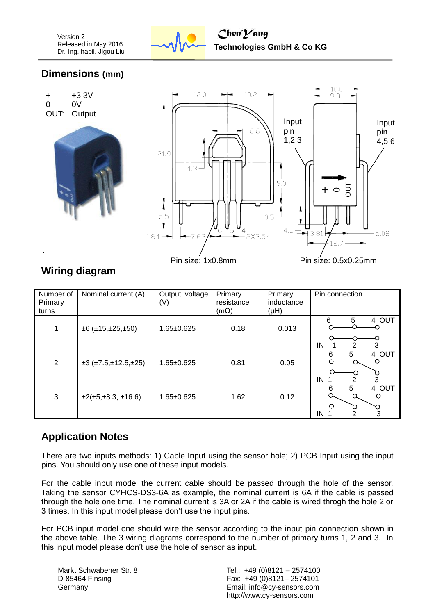

### **Dimensions (mm)**



### **Wiring diagram**

| Number of<br>Primary<br>turns | Nominal current (A)                     | Output voltage<br>(V) | Primary<br>resistance<br>$(m\Omega)$ | Primary<br>inductance<br>(Hu) | Pin connection                                         |
|-------------------------------|-----------------------------------------|-----------------------|--------------------------------------|-------------------------------|--------------------------------------------------------|
| 1                             | $\pm 6$ ( $\pm 15, \pm 25, \pm 50$ )    | $1.65 \pm 0.625$      | 0.18                                 | 0.013                         | 4 OUT<br>6<br>5<br>IN<br>2<br>3                        |
| 2                             | $\pm 3$ ( $\pm 7.5, \pm 12.5, \pm 25$ ) | $1.65 \pm 0.625$      | 0.81                                 | 0.05                          | 4 OUT<br>5<br>6<br>$\circ$<br>3<br>IN<br>2             |
| 3                             | $\pm 2(\pm 5, \pm 8.3, \pm 16.6)$       | $1.65 \pm 0.625$      | 1.62                                 | 0.12                          | 5<br>4 OUT<br>6<br>$\circ$<br>$\Omega$<br>О<br>3<br>ΙN |

## **Application Notes**

There are two inputs methods: 1) Cable Input using the sensor hole; 2) PCB Input using the input pins. You should only use one of these input models.

For the cable input model the current cable should be passed through the hole of the sensor. Taking the sensor CYHCS-DS3-6A as example, the nominal current is 6A if the cable is passed through the hole one time. The nominal current is 3A or 2A if the cable is wired throgh the hole 2 or 3 times. In this input model please don't use the input pins.

For PCB input model one should wire the sensor according to the input pin connection shown in the above table. The 3 wiring diagrams correspond to the number of primary turns 1, 2 and 3. In this input model please don't use the hole of sensor as input.